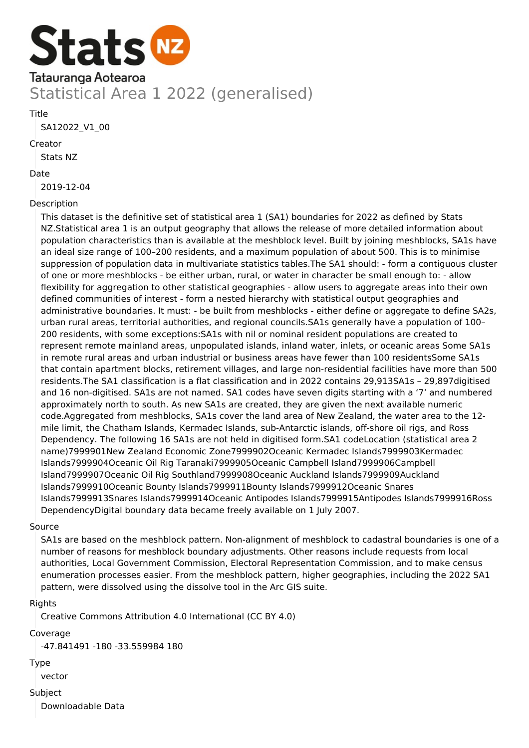

**Title** 

SA12022\_V1\_00

Creator

Stats NZ

#### Date

2019-12-04

## Description

This dataset is the definitive set of statistical area 1 (SA1) boundaries for 2022 as defined by Stats NZ.Statistical area 1 is an output geography that allows the release of more detailed information about population characteristics than is available at the meshblock level. Built by joining meshblocks, SA1s have an ideal size range of 100–200 residents, and a maximum population of about 500. This is to minimise suppression of population data in multivariate statistics tables.The SA1 should: - form a contiguous cluster of one or more meshblocks - be either urban, rural, or water in character be small enough to: - allow flexibility for aggregation to other statistical geographies - allow users to aggregate areas into their own defined communities of interest - form a nested hierarchy with statistical output geographies and administrative boundaries. It must: - be built from meshblocks - either define or aggregate to define SA2s, urban rural areas, territorial authorities, and regional councils.SA1s generally have a population of 100– 200 residents, with some exceptions:SA1s with nil or nominal resident populations are created to represent remote mainland areas, unpopulated islands, inland water, inlets, or oceanic areas Some SA1s in remote rural areas and urban industrial or business areas have fewer than 100 residentsSome SA1s that contain apartment blocks, retirement villages, and large non-residential facilities have more than 500 residents.The SA1 classification is a flat classification and in 2022 contains 29,913SA1s – 29,897digitised and 16 non-digitised. SA1s are not named. SA1 codes have seven digits starting with a '7' and numbered approximately north to south. As new SA1s are created, they are given the next available numeric code.Aggregated from meshblocks, SA1s cover the land area of New Zealand, the water area to the 12 mile limit, the Chatham Islands, Kermadec Islands, sub-Antarctic islands, off-shore oil rigs, and Ross Dependency. The following 16 SA1s are not held in digitised form.SA1 codeLocation (statistical area 2 name)7999901New Zealand Economic Zone7999902Oceanic Kermadec Islands7999903Kermadec Islands7999904Oceanic Oil Rig Taranaki7999905Oceanic Campbell Island7999906Campbell Island7999907Oceanic Oil Rig Southland7999908Oceanic Auckland Islands7999909Auckland Islands7999910Oceanic Bounty Islands7999911Bounty Islands7999912Oceanic Snares Islands7999913Snares Islands7999914Oceanic Antipodes Islands7999915Antipodes Islands7999916Ross DependencyDigital boundary data became freely available on 1 July 2007.

## Source

SA1s are based on the meshblock pattern. Non-alignment of meshblock to cadastral boundaries is one of a number of reasons for meshblock boundary adjustments. Other reasons include requests from local authorities, Local Government Commission, Electoral Representation Commission, and to make census enumeration processes easier. From the meshblock pattern, higher geographies, including the 2022 SA1 pattern, were dissolved using the dissolve tool in the Arc GIS suite.

## Rights

Creative Commons Attribution 4.0 International (CC BY 4.0)

## Coverage

-47.841491 -180 -33.559984 180

## Type

vector

## Subject

Downloadable Data